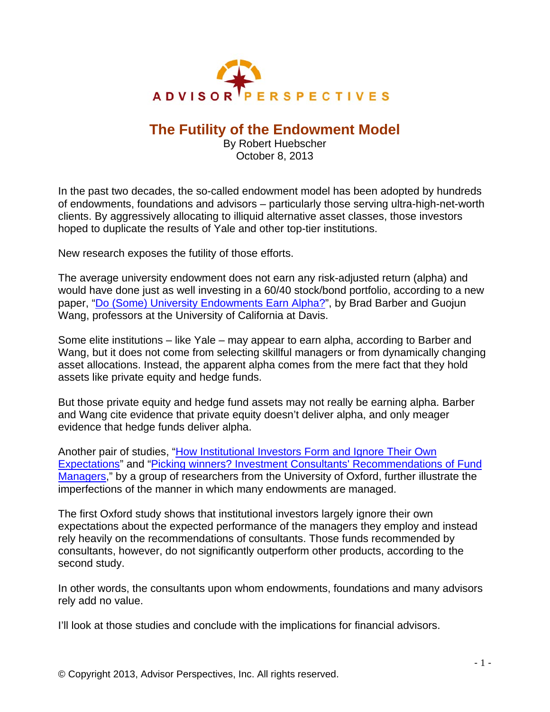

## **The Futility of the Endowment Model**

By Robert Huebscher October 8, 2013

In the past two decades, the so-called endowment model has been adopted by hundreds of endowments, foundations and advisors – particularly those serving ultra-high-net-worth clients. By aggressively allocating to illiquid alternative asset classes, those investors hoped to duplicate the results of Yale and other top-tier institutions.

New research exposes the futility of those efforts.

The average university endowment does not earn any risk-adjusted return (alpha) and would have done just as well investing in a 60/40 stock/bond portfolio, according to a new paper, ["Do \(Some\) University Endowments Earn Alpha?](http://papers.ssrn.com/sol3/papers.cfm?abstract_id=1972317)", by Brad Barber and Guojun Wang, professors at the University of California at Davis.

Some elite institutions – like Yale – may appear to earn alpha, according to Barber and Wang, but it does not come from selecting skillful managers or from dynamically changing asset allocations. Instead, the apparent alpha comes from the mere fact that they hold assets like private equity and hedge funds.

But those private equity and hedge fund assets may not really be earning alpha. Barber and Wang cite evidence that private equity doesn't deliver alpha, and only meager evidence that hedge funds deliver alpha.

Another pair of studies, "[How Institutional Investors Form and Ignore Their Own](http://papers.ssrn.com/sol3/papers.cfm?abstract_id=2252122)  [Expectations](http://papers.ssrn.com/sol3/papers.cfm?abstract_id=2252122)" and ["Picking winners? Investment Consultants' Recommendations of Fund](http://papers.ssrn.com/sol3/papers.cfm?abstract_id=2327042)  [Managers](http://papers.ssrn.com/sol3/papers.cfm?abstract_id=2327042)," by a group of researchers from the University of Oxford, further illustrate the imperfections of the manner in which many endowments are managed.

The first Oxford study shows that institutional investors largely ignore their own expectations about the expected performance of the managers they employ and instead rely heavily on the recommendations of consultants. Those funds recommended by consultants, however, do not significantly outperform other products, according to the second study.

In other words, the consultants upon whom endowments, foundations and many advisors rely add no value.

I'll look at those studies and conclude with the implications for financial advisors.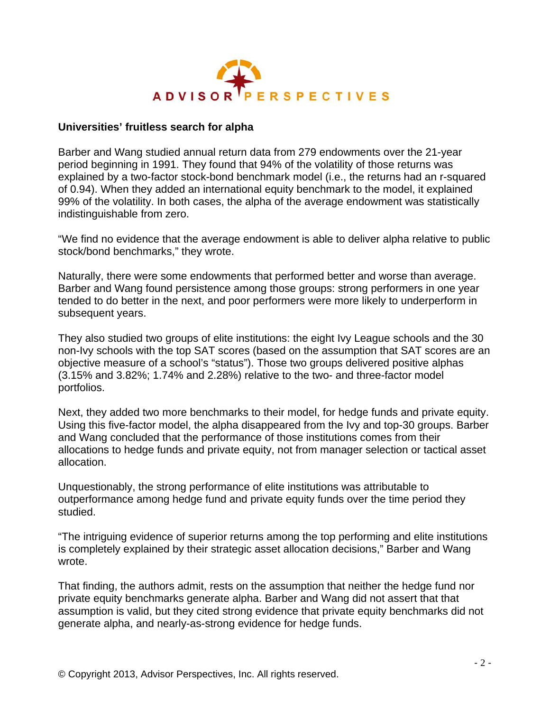

## **Universities' fruitless search for alpha**

Barber and Wang studied annual return data from 279 endowments over the 21-year period beginning in 1991. They found that 94% of the volatility of those returns was explained by a two-factor stock-bond benchmark model (i.e., the returns had an r-squared of 0.94). When they added an international equity benchmark to the model, it explained 99% of the volatility. In both cases, the alpha of the average endowment was statistically indistinguishable from zero.

"We find no evidence that the average endowment is able to deliver alpha relative to public stock/bond benchmarks," they wrote.

Naturally, there were some endowments that performed better and worse than average. Barber and Wang found persistence among those groups: strong performers in one year tended to do better in the next, and poor performers were more likely to underperform in subsequent years.

They also studied two groups of elite institutions: the eight Ivy League schools and the 30 non-Ivy schools with the top SAT scores (based on the assumption that SAT scores are an objective measure of a school's "status"). Those two groups delivered positive alphas (3.15% and 3.82%; 1.74% and 2.28%) relative to the two- and three-factor model portfolios.

Next, they added two more benchmarks to their model, for hedge funds and private equity. Using this five-factor model, the alpha disappeared from the Ivy and top-30 groups. Barber and Wang concluded that the performance of those institutions comes from their allocations to hedge funds and private equity, not from manager selection or tactical asset allocation.

Unquestionably, the strong performance of elite institutions was attributable to outperformance among hedge fund and private equity funds over the time period they studied.

"The intriguing evidence of superior returns among the top performing and elite institutions is completely explained by their strategic asset allocation decisions," Barber and Wang wrote.

That finding, the authors admit, rests on the assumption that neither the hedge fund nor private equity benchmarks generate alpha. Barber and Wang did not assert that that assumption is valid, but they cited strong evidence that private equity benchmarks did not generate alpha, and nearly-as-strong evidence for hedge funds.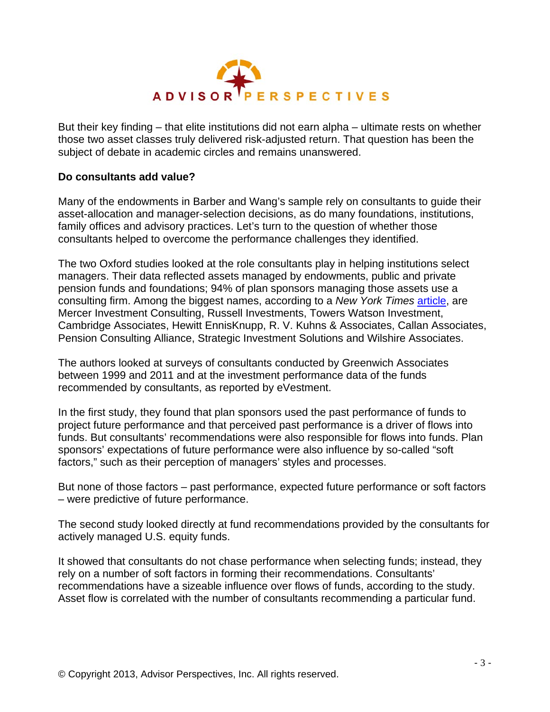

But their key finding – that elite institutions did not earn alpha – ultimate rests on whether those two asset classes truly delivered risk-adjusted return. That question has been the subject of debate in academic circles and remains unanswered.

## **Do consultants add value?**

Many of the endowments in Barber and Wang's sample rely on consultants to guide their asset-allocation and manager-selection decisions, as do many foundations, institutions, family offices and advisory practices. Let's turn to the question of whether those consultants helped to overcome the performance challenges they identified.

The two Oxford studies looked at the role consultants play in helping institutions select managers. Their data reflected assets managed by endowments, public and private pension funds and foundations; 94% of plan sponsors managing those assets use a consulting firm. Among the biggest names, according to a *New York Times* [article,](http://dealbook.nytimes.com/2013/09/30/doubts-raised-on-value-of-investment-consultants-to-pensions/?_r=0) are Mercer Investment Consulting, Russell Investments, Towers Watson Investment, Cambridge Associates, Hewitt EnnisKnupp, R. V. Kuhns & Associates, Callan Associates, Pension Consulting Alliance, Strategic Investment Solutions and Wilshire Associates.

The authors looked at surveys of consultants conducted by Greenwich Associates between 1999 and 2011 and at the investment performance data of the funds recommended by consultants, as reported by eVestment.

In the first study, they found that plan sponsors used the past performance of funds to project future performance and that perceived past performance is a driver of flows into funds. But consultants' recommendations were also responsible for flows into funds. Plan sponsors' expectations of future performance were also influence by so-called "soft factors," such as their perception of managers' styles and processes.

But none of those factors – past performance, expected future performance or soft factors – were predictive of future performance.

The second study looked directly at fund recommendations provided by the consultants for actively managed U.S. equity funds.

It showed that consultants do not chase performance when selecting funds; instead, they rely on a number of soft factors in forming their recommendations. Consultants' recommendations have a sizeable influence over flows of funds, according to the study. Asset flow is correlated with the number of consultants recommending a particular fund.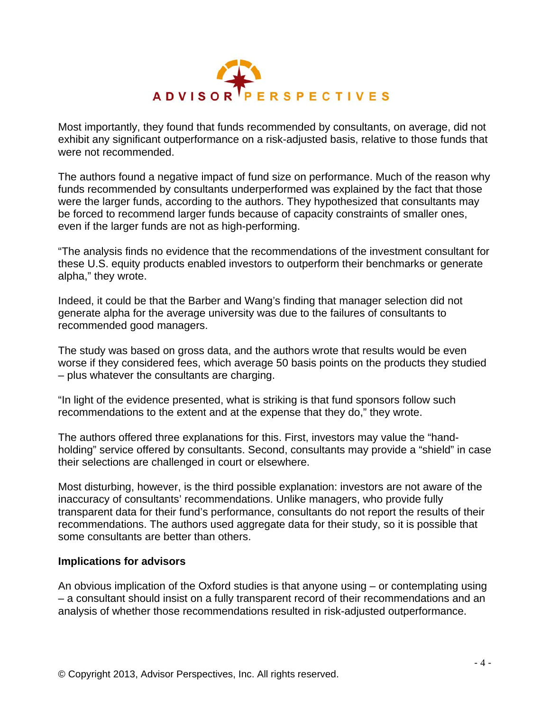

Most importantly, they found that funds recommended by consultants, on average, did not exhibit any significant outperformance on a risk-adjusted basis, relative to those funds that were not recommended.

The authors found a negative impact of fund size on performance. Much of the reason why funds recommended by consultants underperformed was explained by the fact that those were the larger funds, according to the authors. They hypothesized that consultants may be forced to recommend larger funds because of capacity constraints of smaller ones, even if the larger funds are not as high-performing.

"The analysis finds no evidence that the recommendations of the investment consultant for these U.S. equity products enabled investors to outperform their benchmarks or generate alpha," they wrote.

Indeed, it could be that the Barber and Wang's finding that manager selection did not generate alpha for the average university was due to the failures of consultants to recommended good managers.

The study was based on gross data, and the authors wrote that results would be even worse if they considered fees, which average 50 basis points on the products they studied – plus whatever the consultants are charging.

"In light of the evidence presented, what is striking is that fund sponsors follow such recommendations to the extent and at the expense that they do," they wrote.

The authors offered three explanations for this. First, investors may value the "handholding" service offered by consultants. Second, consultants may provide a "shield" in case their selections are challenged in court or elsewhere.

Most disturbing, however, is the third possible explanation: investors are not aware of the inaccuracy of consultants' recommendations. Unlike managers, who provide fully transparent data for their fund's performance, consultants do not report the results of their recommendations. The authors used aggregate data for their study, so it is possible that some consultants are better than others.

## **Implications for advisors**

An obvious implication of the Oxford studies is that anyone using – or contemplating using – a consultant should insist on a fully transparent record of their recommendations and an analysis of whether those recommendations resulted in risk-adjusted outperformance.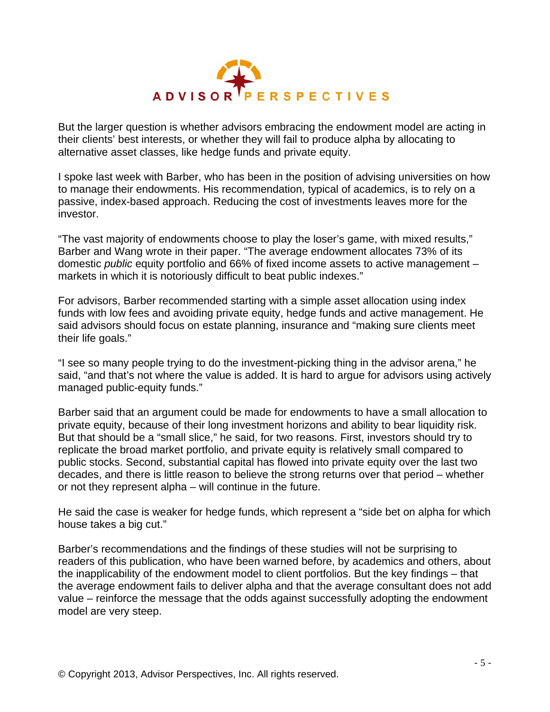

But the larger question is whether advisors embracing the endowment model are acting in their clients' best interests, or whether they will fail to produce alpha by allocating to alternative asset classes, like hedge funds and private equity.

I spoke last week with Barber, who has been in the position of advising universities on how to manage their endowments. His recommendation, typical of academics, is to rely on a passive, index-based approach. Reducing the cost of investments leaves more for the investor.

"The vast majority of endowments choose to play the loser's game, with mixed results," Barber and Wang wrote in their paper. "The average endowment allocates 73% of its domestic *public* equity portfolio and 66% of fixed income assets to active management – markets in which it is notoriously difficult to beat public indexes."

For advisors, Barber recommended starting with a simple asset allocation using index funds with low fees and avoiding private equity, hedge funds and active management. He said advisors should focus on estate planning, insurance and "making sure clients meet their life goals."

"I see so many people trying to do the investment-picking thing in the advisor arena," he said, "and that's not where the value is added. It is hard to argue for advisors using actively managed public-equity funds."

Barber said that an argument could be made for endowments to have a small allocation to private equity, because of their long investment horizons and ability to bear liquidity risk. But that should be a "small slice," he said, for two reasons. First, investors should try to replicate the broad market portfolio, and private equity is relatively small compared to public stocks. Second, substantial capital has flowed into private equity over the last two decades, and there is little reason to believe the strong returns over that period – whether or not they represent alpha – will continue in the future.

He said the case is weaker for hedge funds, which represent a "side bet on alpha for which house takes a big cut."

Barber's recommendations and the findings of these studies will not be surprising to readers of this publication, who have been warned before, by academics and others, about the inapplicability of the endowment model to client portfolios. But the key findings – that the average endowment fails to deliver alpha and that the average consultant does not add value – reinforce the message that the odds against successfully adopting the endowment model are very steep.